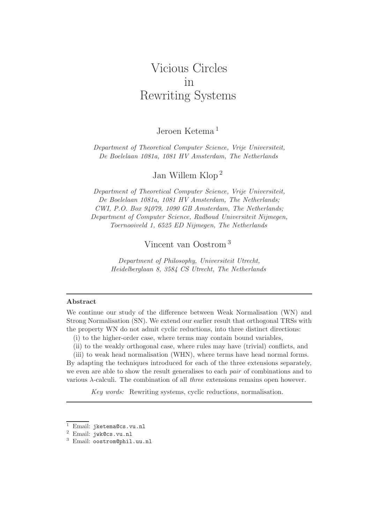# Vicious Circles in Rewriting Systems

# Jeroen Ketema <sup>1</sup>

Department of Theoretical Computer Science, Vrije Universiteit, De Boelelaan 1081a, 1081 HV Amsterdam, The Netherlands

Jan Willem Klop <sup>2</sup>

Department of Theoretical Computer Science, Vrije Universiteit, De Boelelaan 1081a, 1081 HV Amsterdam, The Netherlands; CWI, P.O. Box 94079, 1090 GB Amsterdam, The Netherlands; Department of Computer Science, Radboud Universiteit Nijmegen, Toernooiveld 1, 6525 ED Nijmegen, The Netherlands

Vincent van Oostrom <sup>3</sup>

Department of Philosophy, Universiteit Utrecht, Heidelberglaan 8, 3584 CS Utrecht, The Netherlands

#### Abstract

We continue our study of the difference between Weak Normalisation (WN) and Strong Normalisation (SN). We extend our earlier result that orthogonal TRSs with the property WN do not admit cyclic reductions, into three distinct directions:

- (i) to the higher-order case, where terms may contain bound variables,
- (ii) to the weakly orthogonal case, where rules may have (trivial) conflicts, and

(iii) to weak head normalisation (WHN), where terms have head normal forms. By adapting the techniques introduced for each of the three extensions separately, we even are able to show the result generalises to each *pair* of combinations and to various λ-calculi. The combination of all three extensions remains open however.

Key words: Rewriting systems, cyclic reductions, normalisation.

<sup>1</sup> Email: jketema@cs.vu.nl

<sup>2</sup> Email: jwk@cs.vu.nl

<sup>3</sup> Email: oostrom@phil.uu.nl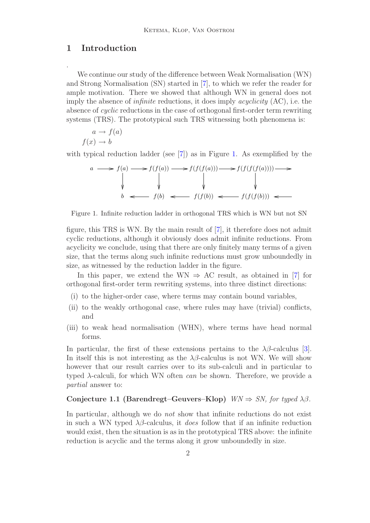## 1 Introduction

.

We continue our study of the difference between Weak Normalisation (WN) and Strong Normalisation (SN) started in [\[7\]](#page-19-0), to which we refer the reader for ample motivation. There we showed that although WN in general does not imply the absence of *infinite* reductions, it does imply *acyclicity*  $(AC)$ , i.e. the absence of cyclic reductions in the case of orthogonal first-order term rewriting systems (TRS). The prototypical such TRS witnessing both phenomena is:

$$
a \to f(a)
$$

$$
f(x) \to b
$$

with typical reduction ladder (see [\[7\]](#page-19-0)) as in Figure [1.](#page-1-0) As exemplified by the

$$
a \longrightarrow f(a) \longrightarrow f(f(a)) \longrightarrow f(f(f(a))) \longrightarrow f(f(f(f(a)))) \longrightarrow
$$
  
\n
$$
\downarrow \qquad \qquad \downarrow \qquad \qquad \downarrow \qquad \qquad \downarrow
$$
  
\n
$$
b \longleftarrow f(b) \longleftarrow f(f(b)) \longleftarrow f(f(f(b))) \longleftarrow
$$

Figure 1. Infinite reduction ladder in orthogonal TRS which is WN but not SN

<span id="page-1-0"></span>figure, this TRS is WN. By the main result of [\[7\]](#page-19-0), it therefore does not admit cyclic reductions, although it obviously does admit infinite reductions. From acyclicity we conclude, using that there are only finitely many terms of a given size, that the terms along such infinite reductions must grow unboundedly in size, as witnessed by the reduction ladder in the figure.

In this paper, we extend the WN  $\Rightarrow$  AC result, as obtained in [\[7\]](#page-19-0) for orthogonal first-order term rewriting systems, into three distinct directions:

- (i) to the higher-order case, where terms may contain bound variables,
- (ii) to the weakly orthogonal case, where rules may have (trivial) conflicts, and
- (iii) to weak head normalisation (WHN), where terms have head normal forms.

In particular, the first of these extensions pertains to the  $\lambda\beta$ -calculus [\[3\]](#page-19-1). In itself this is not interesting as the  $\lambda\beta$ -calculus is not WN. We will show however that our result carries over to its sub-calculi and in particular to typed  $\lambda$ -calculi, for which WN often *can* be shown. Therefore, we provide a partial answer to:

#### <span id="page-1-1"></span>Conjecture 1.1 (Barendregt–Geuvers–Klop)  $WN \Rightarrow SN$ , for typed  $\lambda\beta$ .

In particular, although we do *not* show that infinite reductions do not exist in such a WN typed  $\lambda\beta$ -calculus, it *does* follow that if an infinite reduction would exist, then the situation is as in the prototypical TRS above: the infinite reduction is acyclic and the terms along it grow unboundedly in size.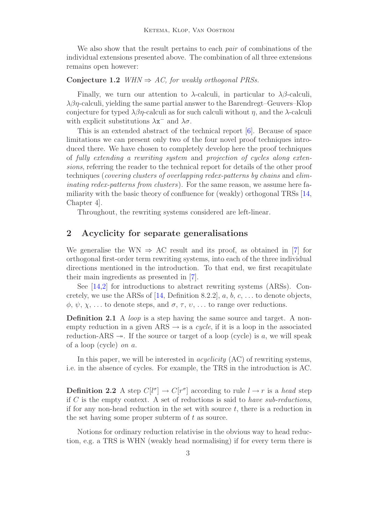We also show that the result pertains to each *pair* of combinations of the individual extensions presented above. The combination of all three extensions remains open however:

## Conjecture 1.2 WHN  $\Rightarrow$  AC, for weakly orthogonal PRSs.

Finally, we turn our attention to  $\lambda$ -calculi, in particular to  $\lambda\beta$ -calculi,  $\lambda\beta\eta$ -calculi, yielding the same partial answer to the Barendregt–Geuvers–Klop conjecture for typed  $\lambda \beta \eta$ -calculi as for such calculi without  $\eta$ , and the  $\lambda$ -calculi with explicit substitutions  $\lambda x^{-}$  and  $\lambda \sigma$ .

This is an extended abstract of the technical report [\[6\]](#page-19-2). Because of space limitations we can present only two of the four novel proof techniques introduced there. We have chosen to completely develop here the proof techniques of fully extending a rewriting system and projection of cycles along extensions, referring the reader to the technical report for details of the other proof techniques (covering clusters of overlapping redex-patterns by chains and eliminating redex-patterns from clusters). For the same reason, we assume here familiarity with the basic theory of confluence for (weakly) orthogonal TRSs [\[14,](#page-19-3) Chapter 4].

Throughout, the rewriting systems considered are left-linear.

## 2 Acyclicity for separate generalisations

We generalise the WN  $\Rightarrow$  AC result and its proof, as obtained in [\[7\]](#page-19-0) for orthogonal first-order term rewriting systems, into each of the three individual directions mentioned in the introduction. To that end, we first recapitulate their main ingredients as presented in [\[7\]](#page-19-0).

See [\[14](#page-19-3)[,2\]](#page-19-4) for introductions to abstract rewriting systems (ARSs). Con-cretely, we use the ARSs of [\[14,](#page-19-3) Definition 8.2.2],  $a, b, c, \ldots$  to denote objects,  $\phi, \psi, \chi, \ldots$  to denote steps, and  $\sigma, \tau, \nu, \ldots$  to range over reductions.

**Definition 2.1** A loop is a step having the same source and target. A nonempty reduction in a given  $ARS \rightarrow$  is a *cycle*, if it is a loop in the associated reduction-ARS  $\rightarrow$ . If the source or target of a loop (cycle) is a, we will speak of a loop (cycle) on a.

In this paper, we will be interested in *acyclicity*  $(AC)$  of rewriting systems, i.e. in the absence of cycles. For example, the TRS in the introduction is AC.

**Definition 2.2** A step  $C[l^{\sigma}] \to C[r^{\sigma}]$  according to rule  $l \to r$  is a head step if  $C$  is the empty context. A set of reductions is said to have sub-reductions, if for any non-head reduction in the set with source  $t$ , there is a reduction in the set having some proper subterm of  $t$  as source.

Notions for ordinary reduction relativise in the obvious way to head reduction, e.g. a TRS is WHN (weakly head normalising) if for every term there is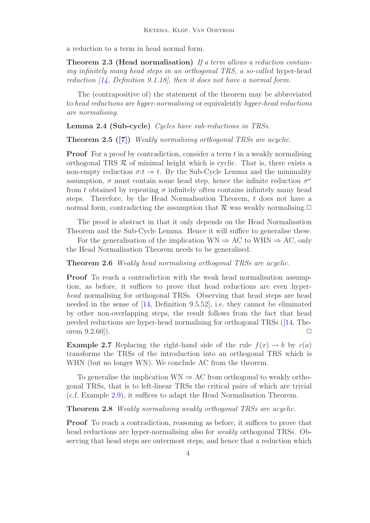a reduction to a term in head normal form.

**Theorem 2.3 (Head normalisation)** If a term allows a reduction containing infinitely many head steps in an orthogonal TRS, a so-called hyper-head reduction [\[14,](#page-19-3) Definition 9.1.18], then it does not have a normal form.

The (contrapositive of) the statement of the theorem may be abbreviated to head reductions are hyper-normalising or equivalently hyper-head reductions are normalising.

Lemma 2.4 (Sub-cycle) Cycles have sub-reductions in TRSs.

Theorem 2.5 ([\[7\]](#page-19-0)) Weakly normalising orthogonal TRSs are acyclic.

**Proof** For a proof by contradiction, consider a term  $t$  in a weakly normalising orthogonal TRS  $\mathcal R$  of minimal height which is cyclic. That is, there exists a non-empty reduction  $\sigma: t \to t$ . By the Sub-Cycle Lemma and the minimality assumption,  $\sigma$  must contain some head step, hence the infinite reduction  $\sigma^{\omega}$ from t obtained by repeating  $\sigma$  infinitely often contains infinitely many head steps. Therefore, by the Head Normalisation Theorem,  $t$  does not have a normal form, contradicting the assumption that  $\mathcal R$  was weakly normalising. $\Box$ 

The proof is abstract in that it only depends on the Head Normalisation Theorem and the Sub-Cycle Lemma. Hence it will suffice to generalise these.

For the generalisation of the implication  $WN \Rightarrow AC$  to  $WHN \Rightarrow AC$ , only the Head Normalisation Theorem needs to be generalised.

<span id="page-3-1"></span>Theorem 2.6 Weakly head normalising orthogonal TRSs are acyclic.

Proof To reach a contradiction with the weak head normalisation assumption, as before, it suffices to prove that head reductions are even hyperhead normalising for orthogonal TRSs. Observing that head steps are head needed in the sense of [\[14,](#page-19-3) Definition 9.5.52], i.e. they cannot be eliminated by other non-overlapping steps, the result follows from the fact that head needed reductions are hyper-head normalising for orthogonal TRSs ([\[14,](#page-19-3) Theorem  $(9.2.60)$ .

**Example 2.7** Replacing the right-hand side of the rule  $f(x) \rightarrow b$  by  $c(a)$ transforms the TRSs of the introduction into an orthogonal TRS which is WHN (but no longer WN). We conclude AC from the theorem.

To generalise the implication  $WN \Rightarrow AC$  from orthogonal to weakly orthogonal TRSs, that is to left-linear TRSs the critical pairs of which are trivial (c.f. Example [2.9\)](#page-4-0), it suffices to adapt the Head Normalisation Theorem.

<span id="page-3-0"></span>Theorem 2.8 Weakly normalising weakly orthogonal TRSs are acyclic.

**Proof** To reach a contradiction, reasoning as before, it suffices to prove that head reductions are hyper-normalising also for *weakly* orthogonal TRSs. Observing that head steps are outermost steps, and hence that a reduction which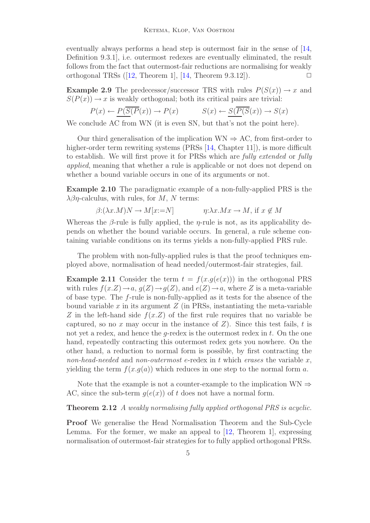eventually always performs a head step is outermost fair in the sense of [\[14,](#page-19-3) Definition 9.3.1], i.e. outermost redexes are eventually eliminated, the result follows from the fact that outermost-fair reductions are normalising for weakly orthogonal TRSs  $([12,$  $([12,$  Theorem 1,  $[14,$  Theorem 9.3.12]).

<span id="page-4-0"></span>**Example 2.9** The predecessor/successor TRS with rules  $P(S(x)) \rightarrow x$  and  $S(P(x)) \to x$  is weakly orthogonal; both its critical pairs are trivial:

$$
P(x) \leftarrow \underline{P(\overline{S(P(x))} \to P(x)} \qquad S(x) \leftarrow \underline{S(\overline{P(S(x))} \to S(x)}
$$

We conclude AC from WN (it is even SN, but that's not the point here).

Our third generalisation of the implication WN  $\Rightarrow$  AC, from first-order to higher-order term rewriting systems (PRSs [\[14,](#page-19-3) Chapter 11]), is more difficult to establish. We will first prove it for PRSs which are fully extended or fully applied, meaning that whether a rule is applicable or not does not depend on whether a bound variable occurs in one of its arguments or not.

Example 2.10 The paradigmatic example of a non-fully-applied PRS is the  $\lambda\beta\eta$ -calculus, with rules, for M, N terms:

$$
\beta: (\lambda x.M)N \to M[x:=N] \qquad \eta: \lambda x.Mx \to M, \text{ if } x \notin M
$$

Whereas the  $\beta$ -rule is fully applied, the *η*-rule is not, as its applicability depends on whether the bound variable occurs. In general, a rule scheme containing variable conditions on its terms yields a non-fully-applied PRS rule.

The problem with non-fully-applied rules is that the proof techniques employed above, normalisation of head needed/outermost-fair strategies, fail.

<span id="page-4-2"></span>**Example 2.11** Consider the term  $t = f(x, q(e(x)))$  in the orthogonal PRS with rules  $f(x.Z) \rightarrow a, g(Z) \rightarrow g(Z)$ , and  $e(Z) \rightarrow a$ , where Z is a meta-variable of base type. The f-rule is non-fully-applied as it tests for the absence of the bound variable x in its argument  $Z$  (in PRSs, instantiating the meta-variable Z in the left-hand side  $f(x,Z)$  of the first rule requires that no variable be captured, so no x may occur in the instance of  $Z$ ). Since this test fails, t is not yet a redex, and hence the  $q$ -redex is the outermost redex in  $t$ . On the one hand, repeatedly contracting this outermost redex gets you nowhere. On the other hand, a reduction to normal form is possible, by first contracting the non-head-needed and non-outermost e-redex in t which erases the variable  $x$ , yielding the term  $f(x,q(a))$  which reduces in one step to the normal form a.

Note that the example is not a counter-example to the implication  $WN \Rightarrow$ AC, since the sub-term  $q(e(x))$  of t does not have a normal form.

#### <span id="page-4-1"></span>Theorem 2.12 A weakly normalising fully applied orthogonal PRS is acyclic.

Proof We generalise the Head Normalisation Theorem and the Sub-Cycle Lemma. For the former, we make an appeal to  $[12,$  Theorem 1, expressing normalisation of outermost-fair strategies for to fully applied orthogonal PRSs.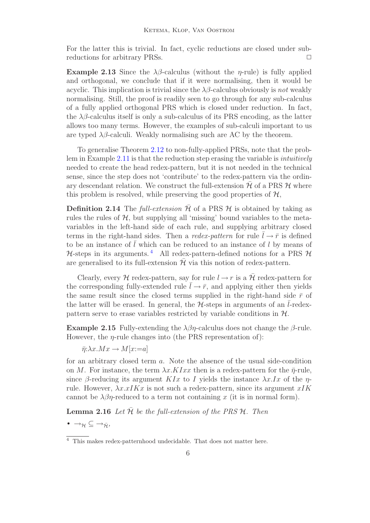For the latter this is trivial. In fact, cyclic reductions are closed under subreductions for arbitrary PRSs.  $\Box$ 

<span id="page-5-2"></span>Example 2.13 Since the  $\lambda\beta$ -calculus (without the *η*-rule) is fully applied and orthogonal, we conclude that if it were normalising, then it would be acyclic. This implication is trivial since the  $\lambda\beta$ -calculus obviously is not weakly normalising. Still, the proof is readily seen to go through for any sub-calculus of a fully applied orthogonal PRS which is closed under reduction. In fact, the  $\lambda\beta$ -calculus itself is only a sub-calculus of its PRS encoding, as the latter allows too many terms. However, the examples of sub-calculi important to us are typed  $\lambda\beta$ -calculi. Weakly normalising such are AC by the theorem.

To generalise Theorem [2.12](#page-4-1) to non-fully-applied PRSs, note that the problem in Example [2.11](#page-4-2) is that the reduction step erasing the variable is intuitively needed to create the head redex-pattern, but it is not needed in the technical sense, since the step does not 'contribute' to the redex-pattern via the ordinary descendant relation. We construct the full-extension  $\bar{\mathcal{H}}$  of a PRS  $\mathcal{H}$  where this problem is resolved, while preserving the good properties of  $H$ .

**Definition 2.14** The full-extension  $\overline{\mathcal{H}}$  of a PRS  $\mathcal{H}$  is obtained by taking as rules the rules of  $H$ , but supplying all 'missing' bound variables to the metavariables in the left-hand side of each rule, and supplying arbitrary closed terms in the right-hand sides. Then a redex-pattern for rule  $l \to \bar{r}$  is defined to be an instance of  $l$  which can be reduced to an instance of  $l$  by means of  $H$ -steps in its arguments.<sup>[4](#page-5-0)</sup> All redex-pattern-defined notions for a PRS  $H$ are generalised to its full-extension  $\bar{\mathcal{H}}$  via this notion of redex-pattern.

Clearly, every H redex-pattern, say for rule  $l \rightarrow r$  is a  $\bar{\mathcal{H}}$  redex-pattern for the corresponding fully-extended rule  $\overline{l} \rightarrow \overline{r}$ , and applying either then yields the same result since the closed terms supplied in the right-hand side  $\bar{r}$  of the latter will be erased. In general, the  $H$ -steps in arguments of an *l*-redexpattern serve to erase variables restricted by variable conditions in  $H$ .

**Example 2.15** Fully-extending the  $\lambda\beta\eta$ -calculus does not change the  $\beta$ -rule. However, the  $\eta$ -rule changes into (the PRS representation of):

 $\bar{\eta}:\lambda x.Mx \to M[x:=a]$ 

for an arbitrary closed term a. Note the absence of the usual side-condition on M. For instance, the term  $\lambda x.KIxx$  then is a redex-pattern for the  $\bar{\eta}$ -rule, since  $\beta$ -reducing its argument KIx to I yields the instance  $\lambda x.Ix$  of the  $\eta$ rule. However,  $\lambda x.xIKx$  is not such a redex-pattern, since its argument  $xIK$ cannot be  $\lambda \beta \eta$ -reduced to a term not containing x (it is in normal form).

<span id="page-5-1"></span>**Lemma 2.16** Let  $\bar{\mathcal{H}}$  be the full-extension of the PRS  $\mathcal{H}$ . Then

•  $\rightarrow_{\mathcal{H}} \subseteq \rightarrow_{\bar{\mathcal{H}}}$ ,

<span id="page-5-0"></span><sup>4</sup> This makes redex-patternhood undecidable. That does not matter here.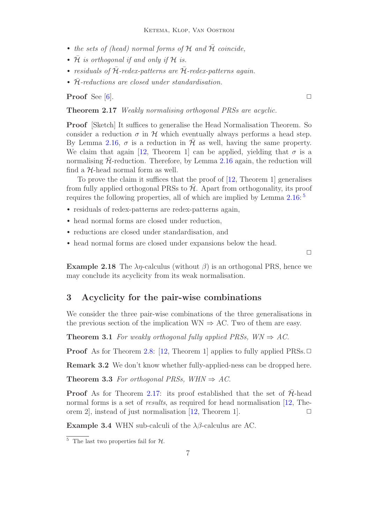- the sets of (head) normal forms of  $H$  and  $\overline{H}$  coincide,
- $\bar{\mathcal{H}}$  is orthogonal if and only if  $\mathcal{H}$  is.
- residuals of  $\bar{\mathcal{H}}$ -redex-patterns are  $\bar{\mathcal{H}}$ -redex-patterns again.
- $\bar{\mathcal{H}}$ -reductions are closed under standardisation.

<span id="page-6-1"></span>**Proof** See [\[6\]](#page-19-2).  $\Box$ 

Theorem 2.17 Weakly normalising orthogonal PRSs are acyclic.

Proof [Sketch] It suffices to generalise the Head Normalisation Theorem. So consider a reduction  $\sigma$  in H which eventually always performs a head step. By Lemma [2.16,](#page-5-1)  $\sigma$  is a reduction in H as well, having the same property. We claim that again [\[12,](#page-19-5) Theorem 1] can be applied, yielding that  $\sigma$  is a normalising  $\bar{\mathcal{H}}$ -reduction. Therefore, by Lemma [2.16](#page-5-1) again, the reduction will find a  $H$ -head normal form as well.

To prove the claim it suffices that the proof of [\[12,](#page-19-5) Theorem 1] generalises from fully applied orthogonal PRSs to  $\bar{\mathcal{H}}$ . Apart from orthogonality, its proof requires the following properties, all of which are implied by Lemma  $2.16:5$  $2.16:5$ 

- residuals of redex-patterns are redex-patterns again,
- head normal forms are closed under reduction,
- reductions are closed under standardisation, and
- head normal forms are closed under expansions below the head.

 $\Box$ 

**Example 2.18** The  $\lambda \eta$ -calculus (without  $\beta$ ) is an orthogonal PRS, hence we may conclude its acyclicity from its weak normalisation.

# 3 Acyclicity for the pair-wise combinations

We consider the three pair-wise combinations of the three generalisations in the previous section of the implication  $WN \Rightarrow AC$ . Two of them are easy.

**Theorem 3.1** For weakly orthogonal fully applied PRSs,  $WN \Rightarrow AC$ .

**Proof** As for Theorem [2.8:](#page-3-0) [\[12,](#page-19-5) Theorem 1] applies to fully applied PRSs.  $\Box$ 

<span id="page-6-3"></span>Remark 3.2 We don't know whether fully-applied-ness can be dropped here.

Theorem 3.3 For orthogonal PRSs, WHN  $\Rightarrow$  AC.

**Proof** As for Theorem [2.17:](#page-6-1) its proof established that the set of  $H$ -head normal forms is a set of *results*, as required for head normalisation [\[12,](#page-19-5) Theorem 2, instead of just normalisation  $[12,$  Theorem 1.

<span id="page-6-2"></span>**Example 3.4** WHN sub-calculi of the  $\lambda\beta$ -calculus are AC.

<span id="page-6-0"></span><sup>&</sup>lt;sup>5</sup> The last two properties fail for  $H$ .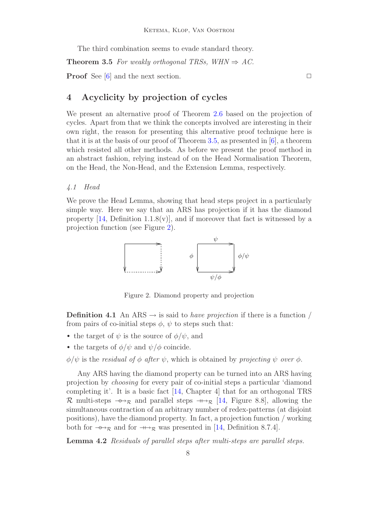The third combination seems to evade standard theory.

<span id="page-7-0"></span>**Theorem 3.5** For weakly orthogonal TRSs, WHN  $\Rightarrow$  AC.

**Proof** See [\[6\]](#page-19-2) and the next section.  $\Box$ 

# 4 Acyclicity by projection of cycles

We present an alternative proof of Theorem [2.6](#page-3-1) based on the projection of cycles. Apart from that we think the concepts involved are interesting in their own right, the reason for presenting this alternative proof technique here is that it is at the basis of our proof of Theorem [3.5,](#page-7-0) as presented in [\[6\]](#page-19-2), a theorem which resisted all other methods. As before we present the proof method in an abstract fashion, relying instead of on the Head Normalisation Theorem, on the Head, the Non-Head, and the Extension Lemma, respectively.

#### 4.1 Head

We prove the Head Lemma, showing that head steps project in a particularly simple way. Here we say that an ARS has projection if it has the diamond property  $[14,$  Definition 1.1.8(v), and if moreover that fact is witnessed by a projection function (see Figure [2\)](#page-7-1).



<span id="page-7-1"></span>Figure 2. Diamond property and projection

**Definition 4.1** An ARS  $\rightarrow$  is said to *have projection* if there is a function / from pairs of co-initial steps  $\phi$ ,  $\psi$  to steps such that:

- the target of  $\psi$  is the source of  $\phi/\psi$ , and
- the targets of  $\phi/\psi$  and  $\psi/\phi$  coincide.

 $\phi/\psi$  is the residual of  $\phi$  after  $\psi$ , which is obtained by projecting  $\psi$  over  $\phi$ .

Any ARS having the diamond property can be turned into an ARS having projection by choosing for every pair of co-initial steps a particular 'diamond completing it'. It is a basic fact [\[14,](#page-19-3) Chapter 4] that for an orthogonal TRS  $\mathcal R$  multi-steps  $\rightarrow_{\mathcal R}$  and parallel steps  $\rightarrow_{\mathcal R}$  [\[14,](#page-19-3) Figure 8.8], allowing the simultaneous contraction of an arbitrary number of redex-patterns (at disjoint positions), have the diamond property. In fact, a projection function / working both for  $\rightarrow_{\mathcal{R}}$  and for  $\rightarrow_{\mathcal{R}}$  was presented in [\[14,](#page-19-3) Definition 8.7.4].

Lemma 4.2 Residuals of parallel steps after multi-steps are parallel steps.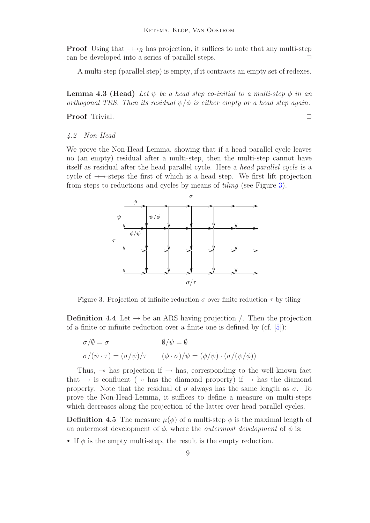**Proof** Using that  $\rightarrow_{\mathcal{R}}$  has projection, it suffices to note that any multi-step can be developed into a series of parallel steps.  $\Box$ 

A multi-step (parallel step) is empty, if it contracts an empty set of redexes.

**Lemma 4.3 (Head)** Let  $\psi$  be a head step co-initial to a multi-step  $\phi$  in an orthogonal TRS. Then its residual  $\psi/\phi$  is either empty or a head step again.

Proof Trivial. □

#### 4.2 Non-Head

We prove the Non-Head Lemma, showing that if a head parallel cycle leaves no (an empty) residual after a multi-step, then the multi-step cannot have itself as residual after the head parallel cycle. Here a head parallel cycle is a cycle of  $\rightarrow$ -steps the first of which is a head step. We first lift projection from steps to reductions and cycles by means of tiling (see Figure [3\)](#page-8-0).



Figure 3. Projection of infinite reduction  $\sigma$  over finite reduction  $\tau$  by tiling

<span id="page-8-0"></span>**Definition 4.4** Let  $\rightarrow$  be an ARS having projection /. Then the projection of a finite or infinite reduction over a finite one is defined by  $(cf. [5])$  $(cf. [5])$  $(cf. [5])$ :

$$
\sigma/\emptyset = \sigma
$$
  
\n
$$
\sigma/\emptyset = \sigma
$$
  
\n
$$
\phi/\psi = \emptyset
$$
  
\n
$$
\phi/\psi = (\phi/\psi) \cdot (\sigma/(\psi/\phi))
$$

Thus,  $\rightarrow$  has projection if  $\rightarrow$  has, corresponding to the well-known fact that  $\rightarrow$  is confluent ( $\rightarrow$  has the diamond property) if  $\rightarrow$  has the diamond property. Note that the residual of  $\sigma$  always has the same length as  $\sigma$ . To prove the Non-Head-Lemma, it suffices to define a measure on multi-steps which decreases along the projection of the latter over head parallel cycles.

**Definition 4.5** The measure  $\mu(\phi)$  of a multi-step  $\phi$  is the maximal length of an outermost development of  $\phi$ , where the *outermost development* of  $\phi$  is:

• If  $\phi$  is the empty multi-step, the result is the empty reduction.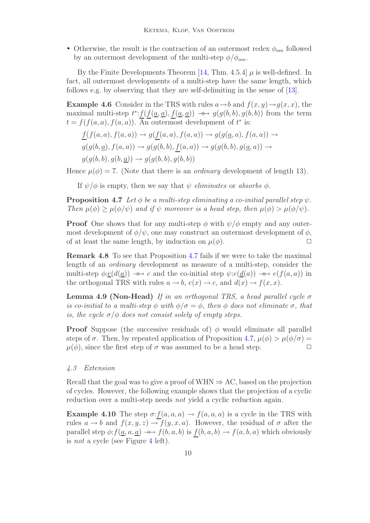• Otherwise, the result is the contraction of an outermost redex  $\phi_{om}$  followed by an outermost development of the multi-step  $\phi/\phi_{om}$ .

By the Finite Developments Theorem [\[14,](#page-19-3) Thm. 4.5.4]  $\mu$  is well-defined. In fact, all outermost developments of a multi-step have the same length, which follows e.g. by observing that they are self-delimiting in the sense of [\[13\]](#page-19-7).

**Example 4.6** Consider in the TRS with rules  $a \rightarrow b$  and  $f(x, y) \rightarrow g(x, x)$ , the maximal multi-step  $t^*$ :  $f(f(\underline{a}, \underline{a}), f(\underline{a}, \underline{a})) \rightarrow g(g(b, b), g(b, b))$  from the term  $t = f(f(a, a), f(a, a))$ . An outermost development of  $t^*$  is:

$$
\underline{f}(f(a,a), f(a,a)) \to g(\underline{f}(a,a), f(a,a)) \to g(g(\underline{a},a), f(a,a)) \to
$$
  

$$
g(g(b,\underline{a}), f(a,a)) \to g(g(b,b), \underline{f}(a,a)) \to g(g(b,b), g(\underline{a},a)) \to
$$
  

$$
g(g(b,b), g(b,\underline{a})) \to g(g(b,b), g(b,b))
$$

Hence  $\mu(\phi) = 7$ . (Note that there is an *ordinary* development of length 13).

If  $\psi/\phi$  is empty, then we say that  $\psi$  eliminates or absorbs  $\phi$ .

<span id="page-9-0"></span>**Proposition 4.7** Let  $\phi$  be a multi-step eliminating a co-initial parallel step  $\psi$ . Then  $\mu(\phi) \geq \mu(\phi/\psi)$  and if  $\psi$  moreover is a head step, then  $\mu(\phi) > \mu(\phi/\psi)$ .

**Proof** One shows that for any multi-step  $\phi$  with  $\psi/\phi$  empty and any outermost development of  $\phi/\psi$ , one may construct an outermost development of  $\phi$ , of at least the same length, by induction on  $\mu(\phi)$ .

Remark 4.8 To see that Proposition [4.7](#page-9-0) fails if we were to take the maximal length of an ordinary development as measure of a multi-step, consider the multi-step  $\phi: \underline{e}(d(\underline{a})) \rightarrow \rightarrow c$  and the co-initial step  $\psi: e(\underline{d}(a)) \rightarrow \rightarrow e(f(a, a))$  in the orthogonal TRS with rules  $a \to b$ ,  $e(x) \to c$ , and  $d(x) \to f(x, x)$ .

**Lemma 4.9 (Non-Head)** If in an orthogonal TRS, a head parallel cycle  $\sigma$ is co-initial to a multi-step  $\phi$  with  $\phi/\sigma = \phi$ , then  $\phi$  does not eliminate  $\sigma$ , that is, the cycle  $\sigma/\phi$  does not consist solely of empty steps.

**Proof** Suppose (the successive residuals of)  $\phi$  would eliminate all parallel steps of  $\sigma$ . Then, by repeated application of Proposition [4.7,](#page-9-0)  $\mu(\phi) > \mu(\phi/\sigma) =$  $\mu(\phi)$ , since the first step of  $\sigma$  was assumed to be a head step.  $\Box$ 

#### 4.3 Extension

Recall that the goal was to give a proof of WHN  $\Rightarrow$  AC, based on the projection of cycles. However, the following example shows that the projection of a cyclic reduction over a multi-step needs *not* yield a cyclic reduction again.

<span id="page-9-1"></span>**Example 4.10** The step  $\sigma$ :  $f(a, a, a) \rightarrow f(a, a, a)$  is a cycle in the TRS with rules  $a \to b$  and  $f(x, y, z) \to f(y, x, a)$ . However, the residual of  $\sigma$  after the parallel step  $\phi: f(a, a, a) \longrightarrow f(b, a, b)$  is  $f(b, a, b) \longrightarrow f(a, b, a)$  which obviously is not a cycle (see Figure [4](#page-10-0) left).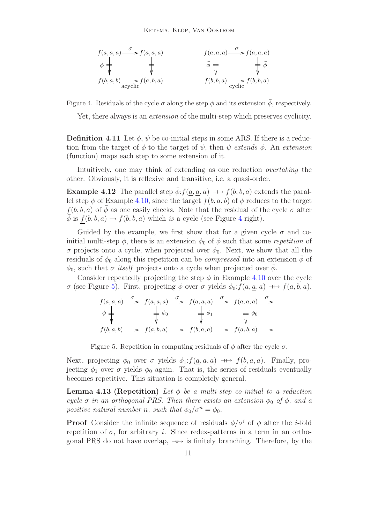

<span id="page-10-0"></span>Figure 4. Residuals of the cycle  $\sigma$  along the step  $\phi$  and its extension  $\bar{\phi}$ , respectively.

Yet, there always is an extension of the multi-step which preserves cyclicity.

**Definition 4.11** Let  $\phi$ ,  $\psi$  be co-initial steps in some ARS. If there is a reduction from the target of  $\phi$  to the target of  $\psi$ , then  $\psi$  extends  $\phi$ . An extension (function) maps each step to some extension of it.

Intuitively, one may think of extending as one reduction overtaking the other. Obviously, it is reflexive and transitive, i.e. a quasi-order.

**Example 4.12** The parallel step  $\phi: f(\underline{a}, \underline{a}, a) \longrightarrow f(b, b, a)$  extends the parallel step  $\phi$  of Example [4.10,](#page-9-1) since the target  $f(b, a, b)$  of  $\phi$  reduces to the target  $f(b, b, a)$  of  $\overline{\phi}$  as one easily checks. Note that the residual of the cycle  $\sigma$  after  $\overline{\phi}$  is  $f(b, b, a) \rightarrow f(b, b, a)$  which is a cycle (see Figure [4](#page-10-0) right).

Guided by the example, we first show that for a given cycle  $\sigma$  and coinitial multi-step  $\phi$ , there is an extension  $\phi_0$  of  $\phi$  such that some repetition of σ projects onto a cycle, when projected over  $φ_0$ . Next, we show that all the residuals of  $\phi_0$  along this repetition can be *compressed* into an extension  $\phi$  of  $\phi_0$ , such that  $\sigma$  *itself* projects onto a cycle when projected over  $\phi$ .

Consider repeatedly projecting the step  $\phi$  in Example [4.10](#page-9-1) over the cycle σ (see Figure [5\)](#page-10-1). First, projecting φ over σ yields  $φ_0: f(a, a, a) \nightharpoonup f(a, b, a)$ .

$$
f(a, a, a) \xrightarrow{\sigma} f(a, a, a) \xrightarrow{\sigma} f(a, a, a) \xrightarrow{\sigma} f(a, a, a) \xrightarrow{\sigma}
$$
  
\n
$$
\phi \xrightarrow{\downarrow} \phi_0 \qquad \qquad \downarrow \phi_1 \qquad \qquad \downarrow \phi_0
$$
  
\n
$$
f(b, a, b) \longrightarrow f(a, b, a) \longrightarrow f(b, a, a) \longrightarrow f(a, b, a) \longrightarrow
$$

Figure 5. Repetition in computing residuals of  $\phi$  after the cycle  $\sigma$ .

<span id="page-10-1"></span>Next, projecting  $\phi_0$  over  $\sigma$  yields  $\phi_1: f(\underline{a}, a, a) \longrightarrow f(b, a, a)$ . Finally, projecting  $\phi_1$  over  $\sigma$  yields  $\phi_0$  again. That is, the series of residuals eventually becomes repetitive. This situation is completely general.

**Lemma 4.13 (Repetition)** Let  $\phi$  be a multi-step co-initial to a reduction cycle  $\sigma$  in an orthogonal PRS. Then there exists an extension  $\phi_0$  of  $\phi$ , and a positive natural number n, such that  $\phi_0/\sigma^n = \phi_0$ .

**Proof** Consider the infinite sequence of residuals  $\phi/\sigma^i$  of  $\phi$  after the *i*-fold repetition of  $\sigma$ , for arbitrary *i*. Since redex-patterns in a term in an orthogonal PRS do not have overlap,  $\rightarrow \rightarrow \infty$  is finitely branching. Therefore, by the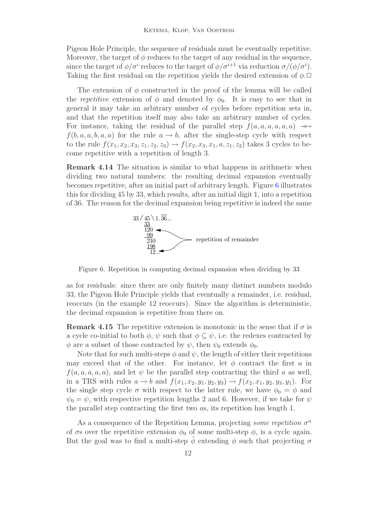Pigeon Hole Principle, the sequence of residuals must be eventually repetitive. Moreover, the target of  $\phi$  reduces to the target of any residual in the sequence, since the target of  $\phi/\sigma^i$  reduces to the target of  $\phi/\sigma^{i+1}$  via reduction  $\sigma/(\phi/\sigma^i)$ . Taking the first residual on the repetition yields the desired extension of  $\phi$ .

The extension of  $\phi$  constructed in the proof of the lemma will be called the repetitive extension of  $\phi$  and denoted by  $\phi_0$ . It is easy to see that in general it may take an arbitrary number of cycles before repetition sets in, and that the repetition itself may also take an arbitrary number of cycles. For instance, taking the residual of the parallel step  $f(a, a, a, a, a, a) \rightarrow$  $f(b, a, a, b, a, a)$  for the rule  $a \rightarrow b$ , after the single-step cycle with respect to the rule  $f(x_1, x_2, x_3, z_1, z_2, z_3) \rightarrow f(x_2, x_3, x_1, a, z_1, z_2)$  takes 3 cycles to become repetitive with a repetition of length 3.

<span id="page-11-1"></span>Remark 4.14 The situation is similar to what happens in arithmetic when dividing two natural numbers: the resulting decimal expansion eventually becomes repetitive, after an initial part of arbitrary length. Figure [6](#page-11-0) illustrates this for dividing 45 by 33, which results, after an initial digit 1, into a repetition of 36. The reason for the decimal expansion being repetitive is indeed the same



Figure 6. Repetition in computing decimal expansion when dividing by 33

<span id="page-11-0"></span>as for residuals: since there are only finitely many distinct numbers modulo 33, the Pigeon Hole Principle yields that eventually a remainder, i.e. residual, reoccurs (in the example 12 reoccurs). Since the algorithm is deterministic, the decimal expansion is repetitive from there on.

**Remark 4.15** The repetitive extension is monotonic in the sense that if  $\sigma$  is a cycle co-initial to both  $\phi$ ,  $\psi$  such that  $\phi \subset \psi$ , i.e. the redexes contracted by  $\phi$  are a subset of those contracted by  $\psi$ , then  $\psi_0$  extends  $\phi_0$ .

Note that for such multi-steps  $\phi$  and  $\psi$ , the length of either their repetitions may exceed that of the other. For instance, let  $\phi$  contract the first a in  $f(a, a, a, a, a)$ , and let  $\psi$  be the parallel step contracting the third a as well, in a TRS with rules  $a \rightarrow b$  and  $f(x_1, x_2, y_1, y_2, y_3) \rightarrow f(x_2, x_1, y_2, y_3, y_1)$ . For the single step cycle  $\sigma$  with respect to the latter rule, we have  $\phi_0 = \phi$  and  $\psi_0 = \psi$ , with respective repetition lengths 2 and 6. However, if we take for  $\psi$ the parallel step contracting the first two as, its repetition has length 1.

As a consequence of the Repetition Lemma, projecting some repetition  $\sigma^n$ of  $\sigma s$  over the repetitive extension  $\phi_0$  of some multi-step  $\phi$ , is a cycle again. But the goal was to find a multi-step  $\phi$  extending  $\phi$  such that projecting  $\sigma$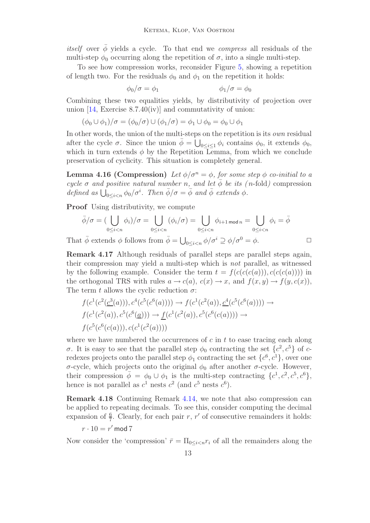*itself* over  $\bar{\phi}$  yields a cycle. To that end we *compress* all residuals of the multi-step  $\phi_0$  occurring along the repetition of  $\sigma$ , into a single multi-step.

To see how compression works, reconsider Figure [5,](#page-10-1) showing a repetition of length two. For the residuals  $\phi_0$  and  $\phi_1$  on the repetition it holds:

$$
\phi_0/\sigma = \phi_1 \qquad \qquad \phi_1/\sigma = \phi_0
$$

Combining these two equalities yields, by distributivity of projection over union  $[14, \text{ Exercise } 8.7.40(iv)]$  $[14, \text{ Exercise } 8.7.40(iv)]$  and commutativity of union:

$$
(\phi_0 \cup \phi_1)/\sigma = (\phi_0/\sigma) \cup (\phi_1/\sigma) = \phi_1 \cup \phi_0 = \phi_0 \cup \phi_1
$$

In other words, the union of the multi-steps on the repetition is its *own* residual after the cycle  $\sigma$ . Since the union  $\bar{\phi} = \bigcup_{0 \leq i \leq 1} \phi_i$  contains  $\phi_0$ , it extends  $\phi_0$ , which in turn extends  $\phi$  by the Repetition Lemma, from which we conclude preservation of cyclicity. This situation is completely general.

**Lemma 4.16 (Compression)** Let  $\phi/\sigma^n = \phi$ , for some step  $\phi$  co-initial to a cycle  $\sigma$  and positive natural number n, and let  $\bar{\phi}$  be its (n-fold) compression defined as  $\bigcup_{0 \leq i < n} \phi_0 / \sigma^i$ . Then  $\bar{\phi}/\sigma = \bar{\phi}$  and  $\bar{\phi}$  extends  $\phi$ .

Proof Using distributivity, we compute

$$
\bar{\phi}/\sigma = (\bigcup_{0 \le i < n} \phi_i)/\sigma = \bigcup_{0 \le i < n} (\phi_i/\sigma) = \bigcup_{0 \le i < n} \phi_{i+1 \mod n} = \bigcup_{0 \le i < n} \phi_i = \bar{\phi}
$$

That  $\bar{\phi}$  extends  $\phi$  follows from  $\bar{\phi} = \bigcup_{0 \leq i < n} \phi / \sigma^i \supseteq \phi / \sigma^0 = \phi$ .

Remark 4.17 Although residuals of parallel steps are parallel steps again, their compression may yield a multi-step which is not parallel, as witnessed by the following example. Consider the term  $t = f(c(c(c(a))), c(c(c(a))))$  in the orthogonal TRS with rules  $a \to c(a)$ ,  $c(x) \to x$ , and  $f(x, y) \to f(y, c(x))$ , The term t allows the cyclic reduction  $\sigma$ :

$$
f(c^1(c^2(\underline{c}^3(a))), c^4(c^5(c^6(a)))) \to f(c^1(c^2(a)), \underline{c}^4(c^5(c^6(a)))) \to f(c^1(c^2(a)), c^5(c^6(\underline{a}))) \to \underline{f}(c^1(c^2(a)), c^5(c^6(c(a)))) \to f(c^5(c^6(c(a))), c(c^1(c^2(a))))
$$

where we have numbered the occurrences of  $c$  in  $t$  to ease tracing each along σ. It is easy to see that the parallel step  $\phi_0$  contracting the set  $\{c^2, c^5\}$  of credexes projects onto the parallel step  $\phi_1$  contracting the set  $\{c^6, c^1\}$ , over one σ-cycle, which projects onto the original  $φ_0$  after another σ-cycle. However, their compression  $\bar{\phi} = \phi_0 \cup \phi_1$  is the multi-step contracting  $\{c^1, c^2, c^5, c^6\}$ , hence is not parallel as  $c^1$  nests  $c^2$  (and  $c^5$  nests  $c^6$ ).

Remark 4.18 Continuing Remark [4.14,](#page-11-1) we note that also compression can be applied to repeating decimals. To see this, consider computing the decimal expansion of  $\frac{6}{7}$ . Clearly, for each pair r, r' of consecutive remainders it holds:

$$
r \cdot 10 = r' \,\mathrm{mod}\, 7
$$

Now consider the 'compression'  $\bar{r} = \prod_{0 \leq i \leq n} r_i$  of all the remainders along the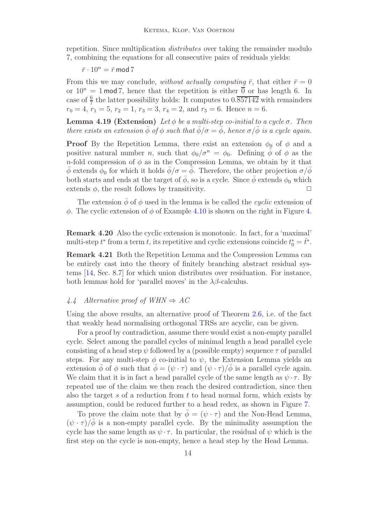repetition. Since multiplication *distributes* over taking the remainder modulo 7, combining the equations for all consecutive pairs of residuals yields:

#### $\bar{r} \cdot 10^n = \bar{r} \mod 7$

From this we may conclude, without actually computing  $\bar{r}$ , that either  $\bar{r} = 0$ or  $10^n = 1$  mod 7, hence that the repetition is either  $\overline{0}$  or has length 6. In case of  $\frac{6}{7}$  the latter possibility holds: It computes to  $0.\overline{857142}$  with remainders  $r_0 = 4, r_1 = 5, r_2 = 1, r_3 = 3, r_4 = 2, \text{ and } r_5 = 6. \text{ Hence } n = 6.$ 

**Lemma 4.19 (Extension)** Let  $\phi$  be a multi-step co-initial to a cycle  $\sigma$ . Then there exists an extension  $\bar{\phi}$  of  $\phi$  such that  $\bar{\phi}/\sigma = \bar{\phi}$ , hence  $\sigma/\bar{\phi}$  is a cycle again.

**Proof** By the Repetition Lemma, there exist an extension  $\phi_0$  of  $\phi$  and a positive natural number *n*, such that  $\phi_0/\sigma^n = \phi_0$ . Defining  $\bar{\phi}$  of  $\phi$  as the n-fold compression of  $\phi$  as in the Compression Lemma, we obtain by it that  $\bar{\phi}$  extends  $\phi_0$  for which it holds  $\bar{\phi}/\sigma = \bar{\phi}$ . Therefore, the other projection  $\sigma/\bar{\phi}$ both starts and ends at the target of  $\bar{\phi}$ , so is a cycle. Since  $\bar{\phi}$  extends  $\phi_0$  which extends  $\phi$ , the result follows by transitivity.  $\Box$ 

The extension  $\bar{\phi}$  of  $\phi$  used in the lemma is be called the *cyclic* extension of  $\phi$ . The cyclic extension of  $\phi$  of Example [4.10](#page-9-1) is shown on the right in Figure [4.](#page-10-0)

Remark 4.20 Also the cyclic extension is monotonic. In fact, for a 'maximal' multi-step  $t^*$  from a term  $t$ , its repetitive and cyclic extensions coincide  $t_0^* = \overline{t}^*$ .

Remark 4.21 Both the Repetition Lemma and the Compression Lemma can be entirely cast into the theory of finitely branching abstract residual systems [\[14,](#page-19-3) Sec. 8.7] for which union distributes over residuation. For instance, both lemmas hold for 'parallel moves' in the  $\lambda\beta$ -calculus.

#### 4.4 Alternative proof of  $WHN \Rightarrow AC$

Using the above results, an alternative proof of Theorem [2.6,](#page-3-1) i.e. of the fact that weakly head normalising orthogonal TRSs are acyclic, can be given.

For a proof by contradiction, assume there would exist a non-empty parallel cycle. Select among the parallel cycles of minimal length a head parallel cycle consisting of a head step  $\psi$  followed by a (possible empty) sequence  $\tau$  of parallel steps. For any multi-step  $\phi$  co-initial to  $\psi$ , the Extension Lemma yields an extension  $\phi$  of  $\phi$  such that  $\phi = (\psi \cdot \tau)$  and  $(\psi \cdot \tau)/\phi$  is a parallel cycle again. We claim that it is in fact a head parallel cycle of the same length as  $\psi \cdot \tau$ . By repeated use of the claim we then reach the desired contradiction, since then also the target s of a reduction from  $t$  to head normal form, which exists by assumption, could be reduced further to a head redex, as shown in Figure [7.](#page-14-0)

To prove the claim note that by  $\bar{\phi} = (\psi \cdot \tau)$  and the Non-Head Lemma,  $(\psi \cdot \tau)/\phi$  is a non-empty parallel cycle. By the minimality assumption the cycle has the same length as  $\psi \cdot \tau$ . In particular, the residual of  $\psi$  which is the first step on the cycle is non-empty, hence a head step by the Head Lemma.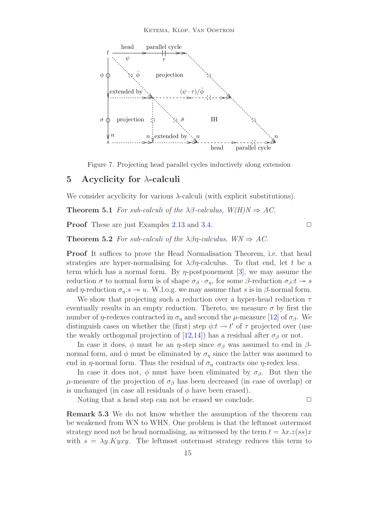

Figure 7. Projecting head parallel cycles inductively along extension

## <span id="page-14-0"></span>5 Acyclicity for  $\lambda$ -calculi

We consider acyclicity for various  $\lambda$ -calculi (with explicit substitutions).

**Theorem 5.1** For sub-calculi of the  $\lambda\beta$ -calculus,  $W(H)N \Rightarrow AC$ .

**Proof** These are just Examples [2.13](#page-5-2) and [3.4.](#page-6-2)  $\Box$ 

**Theorem 5.2** For sub-calculi of the  $\lambda\beta\eta$ -calculus,  $WN \Rightarrow AC$ .

Proof It suffices to prove the Head Normalisation Theorem, i.e. that head strategies are hyper-normalising for  $\lambda \beta \eta$ -calculus. To that end, let t be a term which has a normal form. By  $\eta$ -postponement [\[3\]](#page-19-1), we may assume the reduction  $\sigma$  to normal form is of shape  $\sigma_{\beta} \cdot \sigma_{\eta}$ , for some  $\beta$ -reduction  $\sigma_{\beta}: t \to s$ and  $\eta$ -reduction  $\sigma_n$ : $s \to u$ . W.l.o.g. we may assume that s is in  $\beta$ -normal form.

We show that projecting such a reduction over a hyper-head reduction  $\tau$ eventually results in an empty reduction. Thereto, we measure  $\sigma$  by first the number of  $\eta$ -redexes contracted in  $\sigma_{\eta}$  and second the  $\mu$ -measure [\[12\]](#page-19-5) of  $\sigma_{\beta}$ . We distinguish cases on whether the (first) step  $\phi: t \to t'$  of  $\tau$  projected over (use the weakly orthogonal projection of [\[12](#page-19-5)[,14\]](#page-19-3)) has a residual after  $\sigma_{\beta}$  or not.

In case it does,  $\phi$  must be an  $\eta$ -step since  $\sigma_\beta$  was assumed to end in  $\beta$ normal form, and  $\phi$  must be eliminated by  $\sigma_{\eta}$  since the latter was assumed to end in  $\eta$ -normal form. Thus the residual of  $\sigma_n$  contracts one  $\eta$ -redex less.

In case it does not,  $\phi$  must have been eliminated by  $\sigma_{\beta}$ . But then the  $\mu$ -measure of the projection of  $\sigma_{\beta}$  has been decreased (in case of overlap) or is unchanged (in case all residuals of  $\phi$  have been erased).

Noting that a head step can not be erased we conclude.  $\Box$ 

Remark 5.3 We do not know whether the assumption of the theorem can be weakened from WN to WHN. One problem is that the leftmost outermost strategy need not be head normalising, as witnessed by the term  $t = \lambda x \cdot z(ss)x$ with  $s = \lambda y.Kyxy$ . The leftmost outermost strategy reduces this term to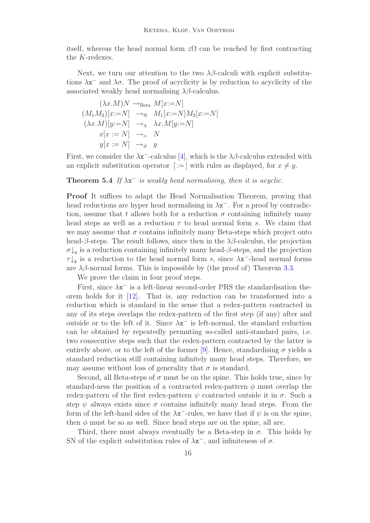itself, whereas the head normal form  $z\Omega$  can be reached by first contracting the K-redexes.

Next, we turn our attention to the two  $\lambda\beta$ -calculi with explicit substitutions  $\lambda x^-$  and  $\lambda \sigma$ . The proof of acyclicity is by reduction to acyclicity of the associated weakly head normalising  $\lambda\beta$ -calculus.

$$
(\lambda x.M)N \rightarrow_{\text{Beta}} M[x:=N]
$$
  
\n
$$
(M_1M_2)[x:=N] \rightarrow \text{A} M_1[x:=N]M_2[x:=N]
$$
  
\n
$$
(\lambda x.M)[y:=N] \rightarrow \text{A} x.M[y:=N]
$$
  
\n
$$
x[x:=N] \rightarrow \text{A} N
$$
  
\n
$$
y[x:=N] \rightarrow \text{A} y
$$

First, we consider the  $\lambda x^-$ -calculus [\[4\]](#page-19-8), which is the  $\lambda \beta$ -calculus extended with an explicit substitution operator  $| := |$  with rules as displayed, for  $x \neq y$ .

<span id="page-15-0"></span>**Theorem 5.4** If  $\lambda x^-$  is weakly head normalising, then it is acyclic.

Proof It suffices to adapt the Head Normalisation Theorem, proving that head reductions are hyper head normalising in  $\lambda x^{-}$ . For a proof by contradiction, assume that t allows both for a reduction  $\sigma$  containing infinitely many head steps as well as a reduction  $\tau$  to head normal form s. We claim that we may assume that  $\sigma$  contains infinitely many Beta-steps which project onto head- $\beta$ -steps. The result follows, since then in the  $\lambda\beta$ -calculus, the projection  $\sigma\downarrow_{\mathbf{x}}$  is a reduction containing infinitely many head- $\beta$ -steps, and the projection  $\tau \downarrow$ <sub>x</sub> is a reduction to the head normal form s, since  $\lambda$ x<sup>-</sup>-head normal forms are  $\lambda\beta$ -normal forms. This is impossible by (the proof of) Theorem [3.3.](#page-6-3)

We prove the claim in four proof steps.

First, since  $\lambda x^{-}$  is a left-linear second-order PRS the standardisation theorem holds for it [\[12\]](#page-19-5). That is, any reduction can be transformed into a reduction which is standard in the sense that a redex-pattern contracted in any of its steps overlaps the redex-pattern of the first step (if any) after and outside or to the left of it. Since  $\lambda x^-$  is left-normal, the standard reduction can be obtained by repeatedly permuting so-called anti-standard pairs, i.e. two consecutive steps such that the redex-pattern contracted by the latter is entirely above, or to the left of the former [\[9\]](#page-19-9). Hence, standardising  $\sigma$  yields a standard reduction still containing infinitely many head steps. Therefore, we may assume without loss of generality that  $\sigma$  is standard.

Second, all Beta-steps of  $\sigma$  must be on the spine. This holds true, since by standard-ness the position of a contracted redex-pattern  $\phi$  must overlap the redex-pattern of the first redex-pattern  $\psi$  contracted outside it in  $\sigma$ . Such a step  $\psi$  always exists since  $\sigma$  contains infinitely many head steps. From the form of the left-hand sides of the  $\lambda x^-$ -rules, we have that if  $\psi$  is on the spine, then  $\phi$  must be so as well. Since head steps are on the spine, all are.

Third, there must always eventually be a Beta-step in  $\sigma$ . This holds by SN of the explicit substitution rules of  $\lambda x^{-}$ , and infiniteness of  $\sigma$ .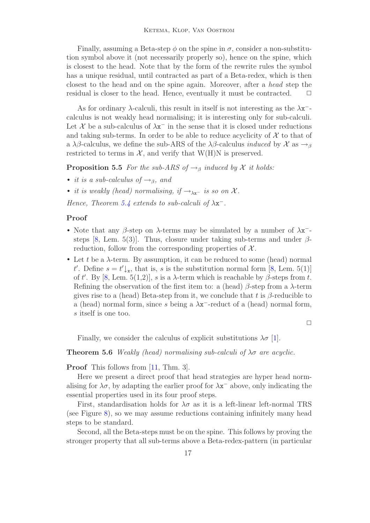Finally, assuming a Beta-step  $\phi$  on the spine in  $\sigma$ , consider a non-substitution symbol above it (not necessarily properly so), hence on the spine, which is closest to the head. Note that by the form of the rewrite rules the symbol has a unique residual, until contracted as part of a Beta-redex, which is then closest to the head and on the spine again. Moreover, after a head step the residual is closer to the head. Hence, eventually it must be contracted.  $\Box$ 

As for ordinary  $\lambda$ -calculi, this result in itself is not interesting as the  $\lambda x^{-}$ calculus is not weakly head normalising; it is interesting only for sub-calculi. Let  $\mathcal X$  be a sub-calculus of  $\lambda x^-$  in the sense that it is closed under reductions and taking sub-terms. In order to be able to reduce acyclicity of  $\mathcal X$  to that of a  $\lambda\beta$ -calculus, we define the sub-ARS of the  $\lambda\beta$ -calculus *induced* by  $\mathcal X$  as  $\rightarrow$ <sub>β</sub> restricted to terms in  $\mathcal{X}$ , and verify that W(H)N is preserved.

**Proposition 5.5** For the sub-ARS of  $\rightarrow$ <sub>β</sub> induced by X it holds:

- it is a sub-calculus of  $\rightarrow$ <sub>β</sub>, and
- it is weakly (head) normalising, if  $\rightarrow_{\lambda x}$  is so on X.

Hence, Theorem [5.4](#page-15-0) extends to sub-calculi of  $\lambda x^{-}$ .

#### Proof

- Note that any  $\beta$ -step on  $\lambda$ -terms may be simulated by a number of  $\lambda x^{-}$ -steps [\[8,](#page-19-10) Lem. 5(3)]. Thus, closure under taking sub-terms and under  $\beta$ reduction, follow from the corresponding properties of  $\mathcal{X}$ .
- Let t be a  $\lambda$ -term. By assumption, it can be reduced to some (head) normal t'. Define  $s = t' \downarrow_{\mathbf{x}}$ , that is, s is the substitution normal form [\[8,](#page-19-10) Lem. 5(1)] of t'. By [\[8,](#page-19-10) Lem. 5(1,2)], s is a  $\lambda$ -term which is reachable by  $\beta$ -steps from t. Refining the observation of the first item to: a (head)  $\beta$ -step from a  $\lambda$ -term gives rise to a (head) Beta-step from it, we conclude that t is  $\beta$ -reducible to a (head) normal form, since s being a  $\lambda x^-$ -reduct of a (head) normal form, s itself is one too.

 $\Box$ 

Finally, we consider the calculus of explicit substitutions  $\lambda \sigma$  [\[1\]](#page-19-11).

**Theorem 5.6** Weakly (head) normalising sub-calculi of  $\lambda \sigma$  are acyclic.

Proof This follows from [\[11,](#page-19-12) Thm. 3].

Here we present a direct proof that head strategies are hyper head normalising for  $\lambda \sigma$ , by adapting the earlier proof for  $\lambda x^-$  above, only indicating the essential properties used in its four proof steps.

First, standardisation holds for  $\lambda \sigma$  as it is a left-linear left-normal TRS (see Figure [8\)](#page-17-0), so we may assume reductions containing infinitely many head steps to be standard.

Second, all the Beta-steps must be on the spine. This follows by proving the stronger property that all sub-terms above a Beta-redex-pattern (in particular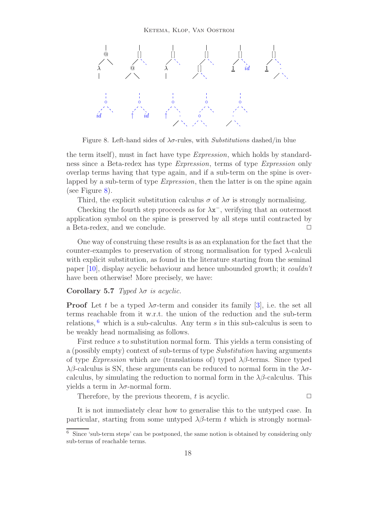

Figure 8. Left-hand sides of  $\lambda \sigma$ -rules, with Substitutions dashed/in blue

<span id="page-17-0"></span>the term itself), must in fact have type *Expression*, which holds by standardness since a Beta-redex has type Expression, terms of type Expression only overlap terms having that type again, and if a sub-term on the spine is overlapped by a sub-term of type *Expression*, then the latter is on the spine again (see Figure [8\)](#page-17-0).

Third, the explicit substitution calculus  $\sigma$  of  $\lambda \sigma$  is strongly normalising.

Checking the fourth step proceeds as for  $\lambda x^{-}$ , verifying that an outermost application symbol on the spine is preserved by all steps until contracted by a Beta-redex, and we conclude.  $\Box$ 

One way of construing these results is as an explanation for the fact that the counter-examples to preservation of strong normalisation for typed  $\lambda$ -calculi with explicit substitution, as found in the literature starting from the seminal paper [\[10\]](#page-19-13), display acyclic behaviour and hence unbounded growth; it couldn't have been otherwise! More precisely, we have:

#### Corollary 5.7 Typed  $\lambda \sigma$  is acyclic.

**Proof** Let t be a typed  $\lambda \sigma$ -term and consider its family [\[3\]](#page-19-1), i.e. the set all terms reachable from it w.r.t. the union of the reduction and the sub-term relations,  $6$  which is a sub-calculus. Any term s in this sub-calculus is seen to be weakly head normalising as follows.

First reduce s to substitution normal form. This yields a term consisting of a (possibly empty) context of sub-terms of type Substitution having arguments of type *Expression* which are (translations of) typed  $\lambda\beta$ -terms. Since typed  $\lambda\beta$ -calculus is SN, these arguments can be reduced to normal form in the  $\lambda\sigma$ calculus, by simulating the reduction to normal form in the  $\lambda\beta$ -calculus. This yields a term in  $\lambda \sigma$ -normal form.

Therefore, by the previous theorem, t is acyclic.  $\Box$ 

It is not immediately clear how to generalise this to the untyped case. In particular, starting from some untyped  $\lambda\beta$ -term t which is strongly normal-

<span id="page-17-1"></span><sup>6</sup> Since 'sub-term steps' can be postponed, the same notion is obtained by considering only sub-terms of reachable terms.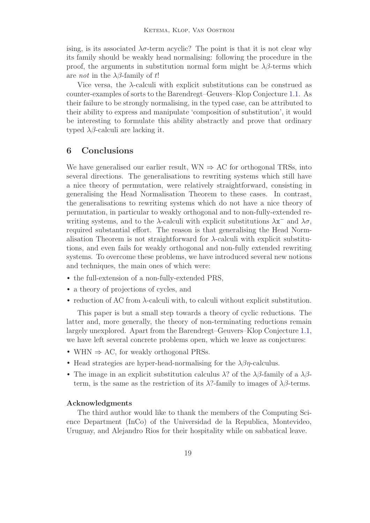ising, is its associated  $\lambda \sigma$ -term acyclic? The point is that it is not clear why its family should be weakly head normalising: following the procedure in the proof, the arguments in substitution normal form might be  $\lambda\beta$ -terms which are *not* in the  $\lambda\beta$ -family of t!

Vice versa, the  $\lambda$ -calculi with explicit substitutions can be construed as counter-examples of sorts to the Barendregt–Geuvers–Klop Conjecture [1.1.](#page-1-1) As their failure to be strongly normalising, in the typed case, can be attributed to their ability to express and manipulate 'composition of substitution', it would be interesting to formulate this ability abstractly and prove that ordinary typed  $\lambda\beta$ -calculi are lacking it.

## 6 Conclusions

We have generalised our earlier result,  $WN \Rightarrow AC$  for orthogonal TRSs, into several directions. The generalisations to rewriting systems which still have a nice theory of permutation, were relatively straightforward, consisting in generalising the Head Normalisation Theorem to these cases. In contrast, the generalisations to rewriting systems which do not have a nice theory of permutation, in particular to weakly orthogonal and to non-fully-extended rewriting systems, and to the  $\lambda$ -calculi with explicit substitutions  $\lambda x^{-}$  and  $\lambda \sigma$ , required substantial effort. The reason is that generalising the Head Normalisation Theorem is not straightforward for  $\lambda$ -calculi with explicit substitutions, and even fails for weakly orthogonal and non-fully extended rewriting systems. To overcome these problems, we have introduced several new notions and techniques, the main ones of which were:

- the full-extension of a non-fully-extended PRS,
- a theory of projections of cycles, and
- reduction of AC from λ-calculi with, to calculi without explicit substitution.

This paper is but a small step towards a theory of cyclic reductions. The latter and, more generally, the theory of non-terminating reductions remain largely unexplored. Apart from the Barendregt–Geuvers–Klop Conjecture [1.1,](#page-1-1) we have left several concrete problems open, which we leave as conjectures:

- WHN  $\Rightarrow$  AC, for weakly orthogonal PRSs.
- Head strategies are hyper-head-normalising for the  $\lambda\beta\eta$ -calculus.
- The image in an explicit substitution calculus  $\lambda$ ? of the  $\lambda\beta$ -family of a  $\lambda\beta$ term, is the same as the restriction of its  $\lambda$ ?-family to images of  $\lambda\beta$ -terms.

#### Acknowledgments

The third author would like to thank the members of the Computing Science Department (InCo) of the Universidad de la Republica, Montevideo, Uruguay, and Alejandro Rios for their hospitality while on sabbatical leave.